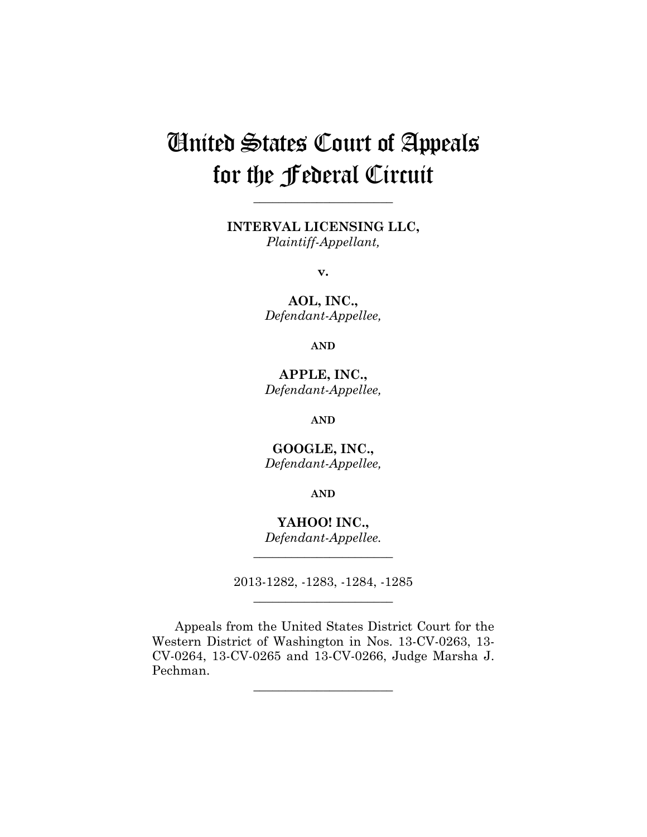# United States Court of Appeals for the Federal Circuit

**INTERVAL LICENSING LLC,** *Plaintiff-Appellant,*

**\_\_\_\_\_\_\_\_\_\_\_\_\_\_\_\_\_\_\_\_\_\_** 

**v.**

**AOL, INC.,** *Defendant-Appellee,*

**AND**

**APPLE, INC.,** *Defendant-Appellee,*

**AND**

**GOOGLE, INC.,** *Defendant-Appellee,*

**AND**

**YAHOO! INC.,** *Defendant-Appellee.*

**\_\_\_\_\_\_\_\_\_\_\_\_\_\_\_\_\_\_\_\_\_\_** 

2013-1282, -1283, -1284, -1285 **\_\_\_\_\_\_\_\_\_\_\_\_\_\_\_\_\_\_\_\_\_\_** 

Appeals from the United States District Court for the Western District of Washington in Nos. 13-CV-0263, 13- CV-0264, 13-CV-0265 and 13-CV-0266, Judge Marsha J. Pechman.

**\_\_\_\_\_\_\_\_\_\_\_\_\_\_\_\_\_\_\_\_\_\_**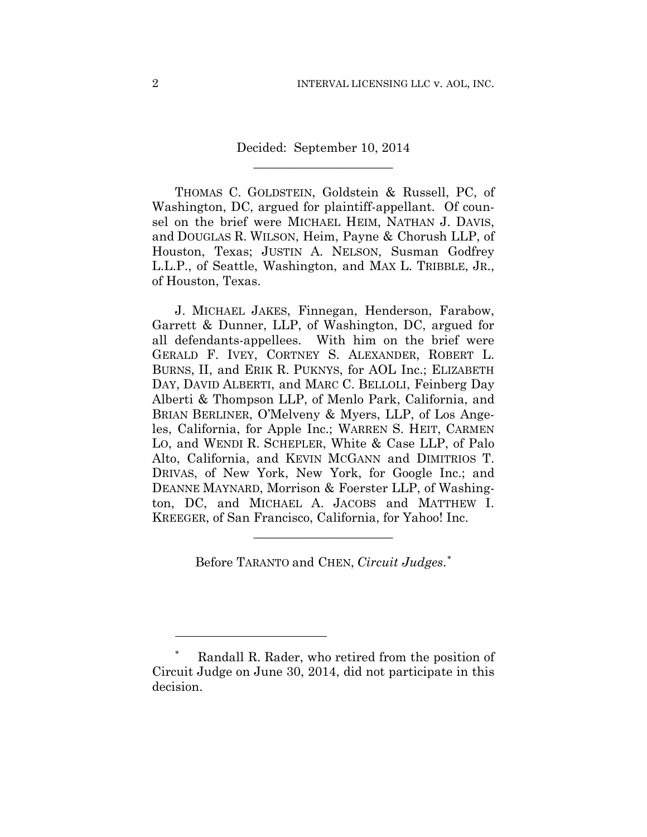Decided: September 10, 2014 **\_\_\_\_\_\_\_\_\_\_\_\_\_\_\_\_\_\_\_\_\_\_** 

THOMAS C. GOLDSTEIN, Goldstein & Russell, PC, of Washington, DC, argued for plaintiff-appellant. Of counsel on the brief were MICHAEL HEIM, NATHAN J. DAVIS, and DOUGLAS R. WILSON, Heim, Payne & Chorush LLP, of Houston, Texas; JUSTIN A. NELSON, Susman Godfrey L.L.P., of Seattle, Washington, and MAX L. TRIBBLE, JR., of Houston, Texas.

J. MICHAEL JAKES, Finnegan, Henderson, Farabow, Garrett & Dunner, LLP, of Washington, DC, argued for all defendants-appellees. With him on the brief were GERALD F. IVEY, CORTNEY S. ALEXANDER, ROBERT L. BURNS, II, and ERIK R. PUKNYS, for AOL Inc.; ELIZABETH DAY, DAVID ALBERTI, and MARC C. BELLOLI, Feinberg Day Alberti & Thompson LLP, of Menlo Park, California, and BRIAN BERLINER, O'Melveny & Myers, LLP, of Los Angeles, California, for Apple Inc.; WARREN S. HEIT, CARMEN LO, and WENDI R. SCHEPLER, White & Case LLP, of Palo Alto, California, and KEVIN MCGANN and DIMITRIOS T. DRIVAS, of New York, New York, for Google Inc.; and DEANNE MAYNARD, Morrison & Foerster LLP, of Washington, DC, and MICHAEL A. JACOBS and MATTHEW I. KREEGER, of San Francisco, California, for Yahoo! Inc.

Before TARANTO and CHEN, *Circuit Judges*. ∗

**\_\_\_\_\_\_\_\_\_\_\_\_\_\_\_\_\_\_\_\_\_\_** 

Randall R. Rader, who retired from the position of Circuit Judge on June 30, 2014, did not participate in this decision.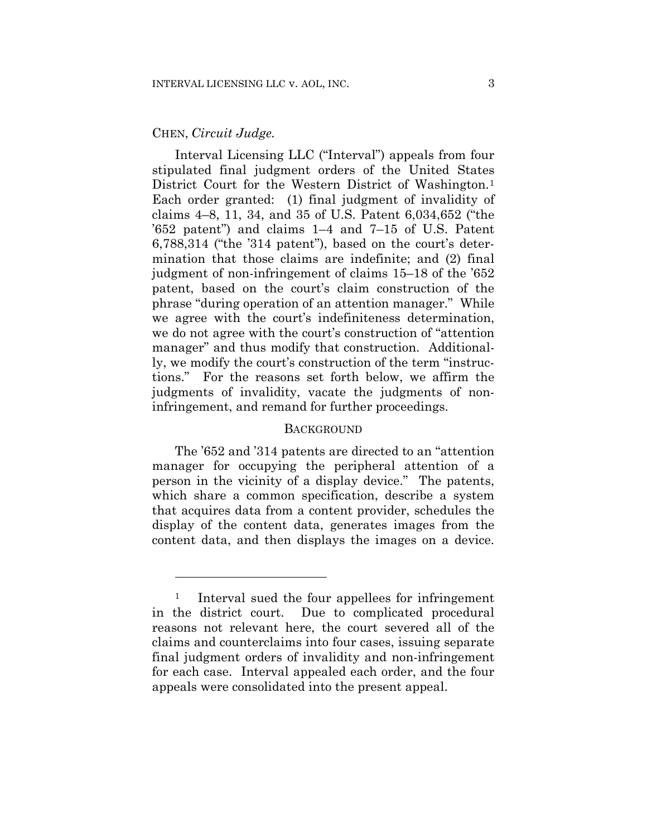# CHEN, *Circuit Judge.*

<u>.</u>

Interval Licensing LLC ("Interval") appeals from four stipulated final judgment orders of the United States District Court for the Western District of Washington.<sup>1</sup> Each order granted: (1) final judgment of invalidity of claims 4–8, 11, 34, and 35 of U.S. Patent 6,034,652 ("the '652 patent") and claims 1–4 and 7–15 of U.S. Patent 6,788,314 ("the '314 patent"), based on the court's determination that those claims are indefinite; and (2) final judgment of non-infringement of claims 15–18 of the '652 patent, based on the court's claim construction of the phrase "during operation of an attention manager." While we agree with the court's indefiniteness determination, we do not agree with the court's construction of "attention manager" and thus modify that construction. Additionally, we modify the court's construction of the term "instructions." For the reasons set forth below, we affirm the judgments of invalidity, vacate the judgments of noninfringement, and remand for further proceedings.

# **BACKGROUND**

The '652 and '314 patents are directed to an "attention manager for occupying the peripheral attention of a person in the vicinity of a display device." The patents, which share a common specification, describe a system that acquires data from a content provider, schedules the display of the content data, generates images from the content data, and then displays the images on a device.

<sup>&</sup>lt;sup>1</sup> Interval sued the four appellees for infringement in the district court. Due to complicated procedural reasons not relevant here, the court severed all of the claims and counterclaims into four cases, issuing separate final judgment orders of invalidity and non-infringement for each case. Interval appealed each order, and the four appeals were consolidated into the present appeal.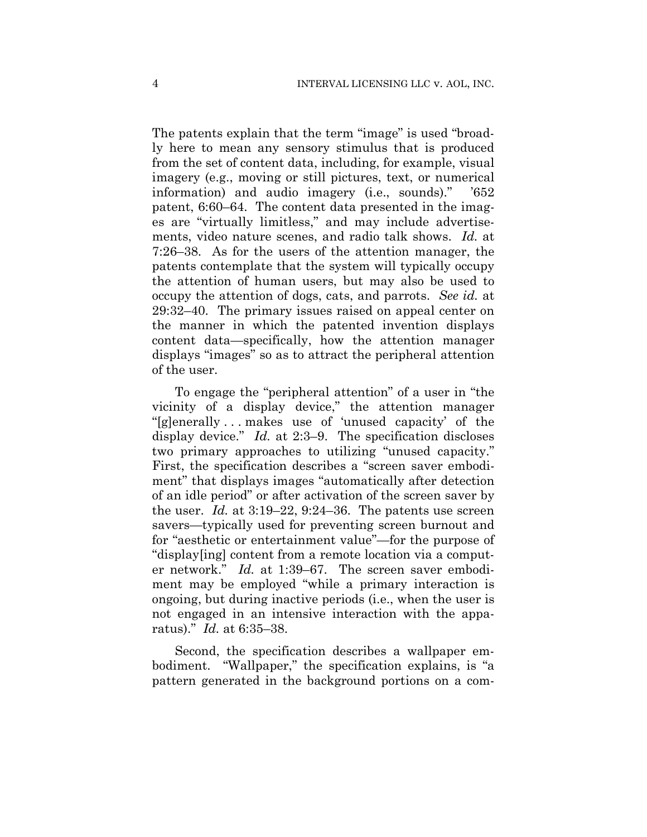The patents explain that the term "image" is used "broadly here to mean any sensory stimulus that is produced from the set of content data, including, for example, visual imagery (e.g., moving or still pictures, text, or numerical information) and audio imagery (i.e., sounds)." '652 patent, 6:60–64. The content data presented in the images are "virtually limitless," and may include advertisements, video nature scenes, and radio talk shows. *Id.* at 7:26–38. As for the users of the attention manager, the patents contemplate that the system will typically occupy the attention of human users, but may also be used to occupy the attention of dogs, cats, and parrots. *See id.* at 29:32–40. The primary issues raised on appeal center on the manner in which the patented invention displays content data—specifically, how the attention manager displays "images" so as to attract the peripheral attention of the user.

To engage the "peripheral attention" of a user in "the vicinity of a display device," the attention manager "[g]enerally . . . makes use of 'unused capacity' of the display device." *Id.* at 2:3–9. The specification discloses two primary approaches to utilizing "unused capacity." First, the specification describes a "screen saver embodiment" that displays images "automatically after detection of an idle period" or after activation of the screen saver by the user. *Id.* at 3:19–22, 9:24–36. The patents use screen savers—typically used for preventing screen burnout and for "aesthetic or entertainment value"—for the purpose of "display[ing] content from a remote location via a computer network." *Id.* at 1:39–67. The screen saver embodiment may be employed "while a primary interaction is ongoing, but during inactive periods (i.e., when the user is not engaged in an intensive interaction with the apparatus)." *Id.* at 6:35–38.

Second, the specification describes a wallpaper embodiment. "Wallpaper," the specification explains, is "a pattern generated in the background portions on a com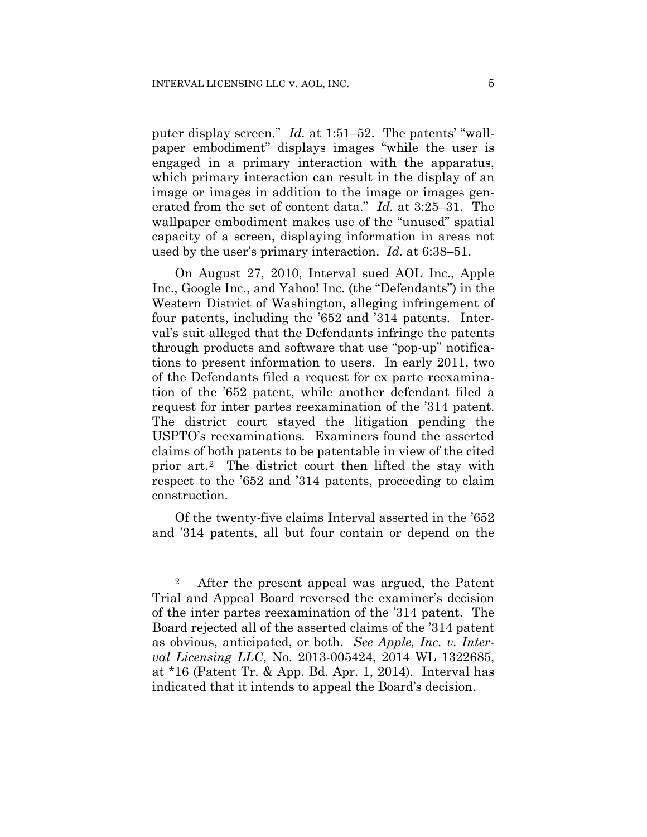puter display screen." *Id.* at 1:51–52. The patents' "wallpaper embodiment" displays images "while the user is engaged in a primary interaction with the apparatus, which primary interaction can result in the display of an image or images in addition to the image or images generated from the set of content data." *Id.* at 3:25–31. The wallpaper embodiment makes use of the "unused" spatial capacity of a screen, displaying information in areas not used by the user's primary interaction. *Id.* at 6:38–51.

On August 27, 2010, Interval sued AOL Inc., Apple Inc., Google Inc., and Yahoo! Inc. (the "Defendants") in the Western District of Washington, alleging infringement of four patents, including the '652 and '314 patents. Interval's suit alleged that the Defendants infringe the patents through products and software that use "pop-up" notifications to present information to users. In early 2011, two of the Defendants filed a request for ex parte reexamination of the '652 patent, while another defendant filed a request for inter partes reexamination of the '314 patent. The district court stayed the litigation pending the USPTO's reexaminations. Examiners found the asserted claims of both patents to be patentable in view of the cited prior art.2 The district court then lifted the stay with respect to the '652 and '314 patents, proceeding to claim construction.

Of the twenty-five claims Interval asserted in the '652 and '314 patents, all but four contain or depend on the

<sup>2</sup> After the present appeal was argued, the Patent Trial and Appeal Board reversed the examiner's decision of the inter partes reexamination of the '314 patent. The Board rejected all of the asserted claims of the '314 patent as obvious, anticipated, or both. *See Apple, Inc. v. Interval Licensing LLC*, No. 2013-005424, 2014 WL 1322685, at \*16 (Patent Tr. & App. Bd. Apr. 1, 2014). Interval has indicated that it intends to appeal the Board's decision.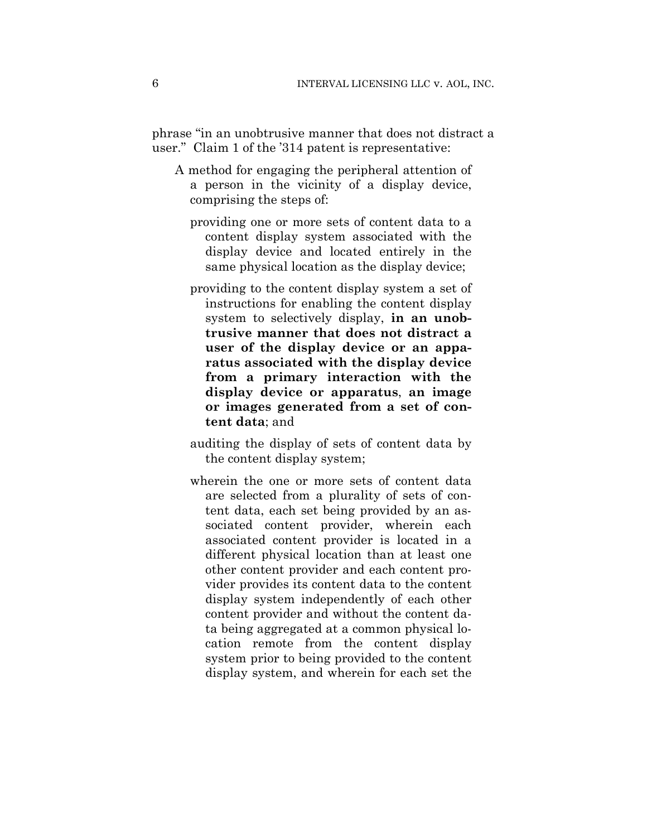phrase "in an unobtrusive manner that does not distract a user." Claim 1 of the '314 patent is representative:

- A method for engaging the peripheral attention of a person in the vicinity of a display device, comprising the steps of:
	- providing one or more sets of content data to a content display system associated with the display device and located entirely in the same physical location as the display device;
	- providing to the content display system a set of instructions for enabling the content display system to selectively display, **in an unobtrusive manner that does not distract a user of the display device or an apparatus associated with the display device from a primary interaction with the display device or apparatus**, **an image or images generated from a set of content data**; and
	- auditing the display of sets of content data by the content display system;
	- wherein the one or more sets of content data are selected from a plurality of sets of content data, each set being provided by an associated content provider, wherein each associated content provider is located in a different physical location than at least one other content provider and each content provider provides its content data to the content display system independently of each other content provider and without the content data being aggregated at a common physical location remote from the content display system prior to being provided to the content display system, and wherein for each set the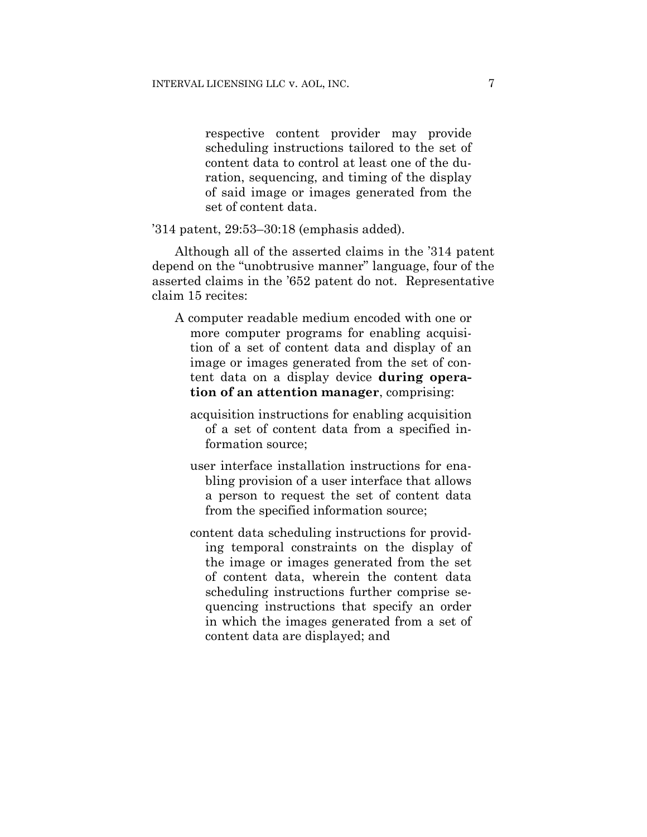respective content provider may provide scheduling instructions tailored to the set of content data to control at least one of the duration, sequencing, and timing of the display of said image or images generated from the set of content data.

'314 patent, 29:53–30:18 (emphasis added).

Although all of the asserted claims in the '314 patent depend on the "unobtrusive manner" language, four of the asserted claims in the '652 patent do not. Representative claim 15 recites:

- A computer readable medium encoded with one or more computer programs for enabling acquisition of a set of content data and display of an image or images generated from the set of content data on a display device **during operation of an attention manager**, comprising:
	- acquisition instructions for enabling acquisition of a set of content data from a specified information source;
	- user interface installation instructions for enabling provision of a user interface that allows a person to request the set of content data from the specified information source;
	- content data scheduling instructions for providing temporal constraints on the display of the image or images generated from the set of content data, wherein the content data scheduling instructions further comprise sequencing instructions that specify an order in which the images generated from a set of content data are displayed; and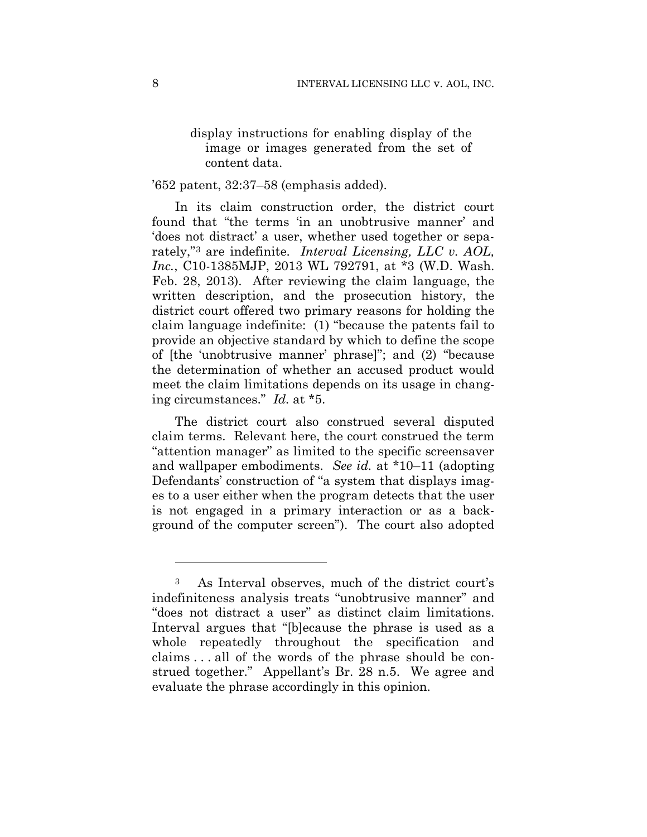display instructions for enabling display of the image or images generated from the set of content data.

#### '652 patent, 32:37–58 (emphasis added).

In its claim construction order, the district court found that "the terms 'in an unobtrusive manner' and 'does not distract' a user, whether used together or separately,"3 are indefinite. *Interval Licensing, LLC v. AOL, Inc.*, C10-1385MJP, 2013 WL 792791, at \*3 (W.D. Wash. Feb. 28, 2013). After reviewing the claim language, the written description, and the prosecution history, the district court offered two primary reasons for holding the claim language indefinite: (1) "because the patents fail to provide an objective standard by which to define the scope of [the 'unobtrusive manner' phrase]"; and (2) "because the determination of whether an accused product would meet the claim limitations depends on its usage in changing circumstances." *Id.* at \*5.

The district court also construed several disputed claim terms. Relevant here, the court construed the term "attention manager" as limited to the specific screensaver and wallpaper embodiments. *See id.* at \*10–11 (adopting Defendants' construction of "a system that displays images to a user either when the program detects that the user is not engaged in a primary interaction or as a background of the computer screen"). The court also adopted

<sup>3</sup> As Interval observes, much of the district court's indefiniteness analysis treats "unobtrusive manner" and "does not distract a user" as distinct claim limitations. Interval argues that "[b]ecause the phrase is used as a whole repeatedly throughout the specification and claims . . . all of the words of the phrase should be construed together." Appellant's Br. 28 n.5. We agree and evaluate the phrase accordingly in this opinion.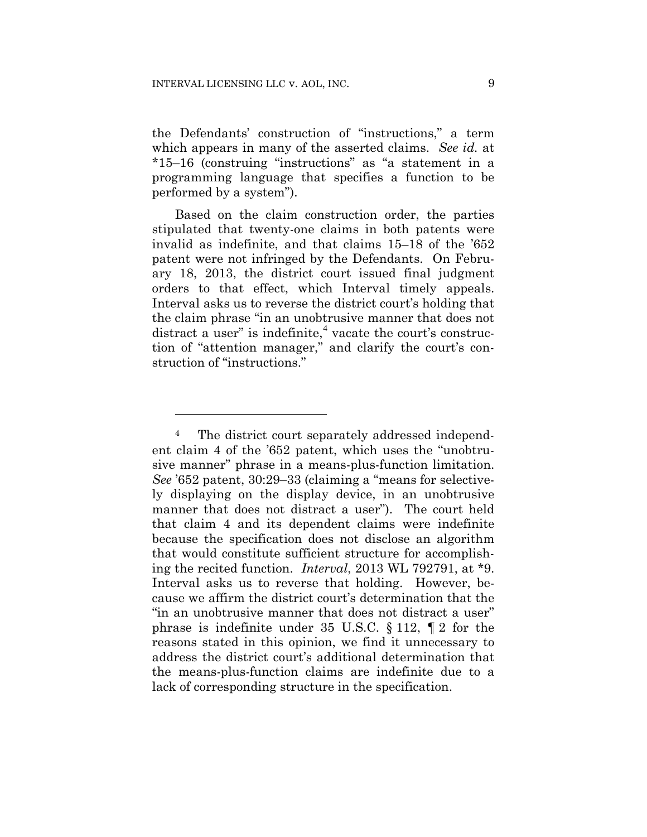1

the Defendants' construction of "instructions," a term which appears in many of the asserted claims. *See id.* at \*15–16 (construing "instructions" as "a statement in a programming language that specifies a function to be performed by a system").

Based on the claim construction order, the parties stipulated that twenty-one claims in both patents were invalid as indefinite, and that claims 15–18 of the '652 patent were not infringed by the Defendants. On February 18, 2013, the district court issued final judgment orders to that effect, which Interval timely appeals. Interval asks us to reverse the district court's holding that the claim phrase "in an unobtrusive manner that does not distract a user" is indefinite,<sup>4</sup> vacate the court's construction of "attention manager," and clarify the court's construction of "instructions."

<sup>4</sup> The district court separately addressed independent claim 4 of the '652 patent, which uses the "unobtrusive manner" phrase in a means-plus-function limitation. *See* '652 patent, 30:29–33 (claiming a "means for selectively displaying on the display device, in an unobtrusive manner that does not distract a user"). The court held that claim 4 and its dependent claims were indefinite because the specification does not disclose an algorithm that would constitute sufficient structure for accomplishing the recited function. *Interval*, 2013 WL 792791, at \*9. Interval asks us to reverse that holding. However, because we affirm the district court's determination that the "in an unobtrusive manner that does not distract a user" phrase is indefinite under 35 U.S.C. § 112, ¶ 2 for the reasons stated in this opinion, we find it unnecessary to address the district court's additional determination that the means-plus-function claims are indefinite due to a lack of corresponding structure in the specification.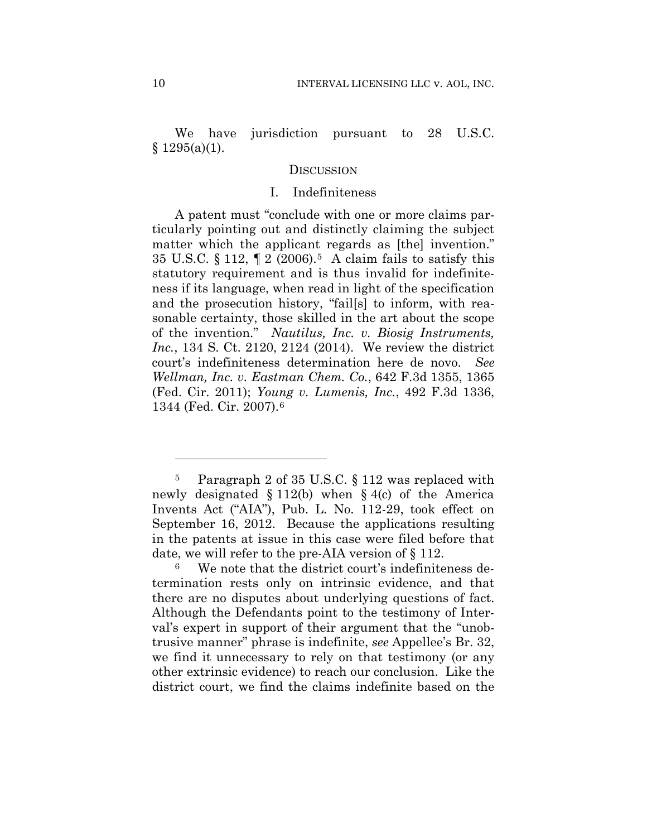We have jurisdiction pursuant to 28 U.S.C.  $§ 1295(a)(1).$ 

#### **DISCUSSION**

# I. Indefiniteness

A patent must "conclude with one or more claims particularly pointing out and distinctly claiming the subject matter which the applicant regards as [the] invention." 35 U.S.C. § 112, ¶ 2 (2006).5 A claim fails to satisfy this statutory requirement and is thus invalid for indefiniteness if its language, when read in light of the specification and the prosecution history, "fail[s] to inform, with reasonable certainty, those skilled in the art about the scope of the invention." *Nautilus, Inc. v. Biosig Instruments, Inc.*, 134 S. Ct. 2120, 2124 (2014). We review the district court's indefiniteness determination here de novo. *See Wellman, Inc. v. Eastman Chem. Co.*, 642 F.3d 1355, 1365 (Fed. Cir. 2011); *Young v. Lumenis, Inc.*, 492 F.3d 1336, 1344 (Fed. Cir. 2007).6

<sup>5</sup> Paragraph 2 of 35 U.S.C. § 112 was replaced with newly designated § 112(b) when § 4(c) of the America Invents Act ("AIA"), Pub. L. No. 112-29, took effect on September 16, 2012. Because the applications resulting in the patents at issue in this case were filed before that date, we will refer to the pre-AIA version of § 112.

We note that the district court's indefiniteness determination rests only on intrinsic evidence, and that there are no disputes about underlying questions of fact. Although the Defendants point to the testimony of Interval's expert in support of their argument that the "unobtrusive manner" phrase is indefinite, *see* Appellee's Br. 32, we find it unnecessary to rely on that testimony (or any other extrinsic evidence) to reach our conclusion. Like the district court, we find the claims indefinite based on the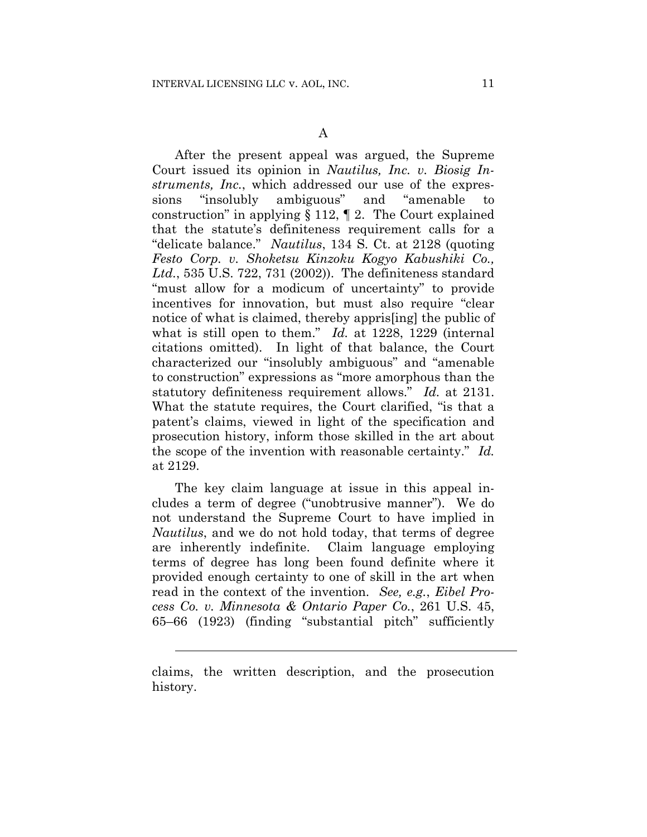After the present appeal was argued, the Supreme Court issued its opinion in *Nautilus, Inc. v. Biosig Instruments, Inc.*, which addressed our use of the expressions "insolubly ambiguous" and "amenable to construction" in applying § 112, ¶ 2. The Court explained that the statute's definiteness requirement calls for a "delicate balance." *Nautilus*, 134 S. Ct. at 2128 (quoting *Festo Corp. v. Shoketsu Kinzoku Kogyo Kabushiki Co., Ltd.*, 535 U.S. 722, 731 (2002)). The definiteness standard "must allow for a modicum of uncertainty" to provide incentives for innovation, but must also require "clear notice of what is claimed, thereby appris[ing] the public of what is still open to them." *Id.* at 1228, 1229 (internal citations omitted). In light of that balance, the Court characterized our "insolubly ambiguous" and "amenable to construction" expressions as "more amorphous than the statutory definiteness requirement allows." *Id.* at 2131. What the statute requires, the Court clarified, "is that a patent's claims, viewed in light of the specification and prosecution history, inform those skilled in the art about the scope of the invention with reasonable certainty." *Id.* at 2129.

The key claim language at issue in this appeal includes a term of degree ("unobtrusive manner"). We do not understand the Supreme Court to have implied in *Nautilus*, and we do not hold today, that terms of degree are inherently indefinite. Claim language employing terms of degree has long been found definite where it provided enough certainty to one of skill in the art when read in the context of the invention. *See, e.g.*, *Eibel Process Co. v. Minnesota & Ontario Paper Co.*, 261 U.S. 45, 65–66 (1923) (finding "substantial pitch" sufficiently

l

claims, the written description, and the prosecution history.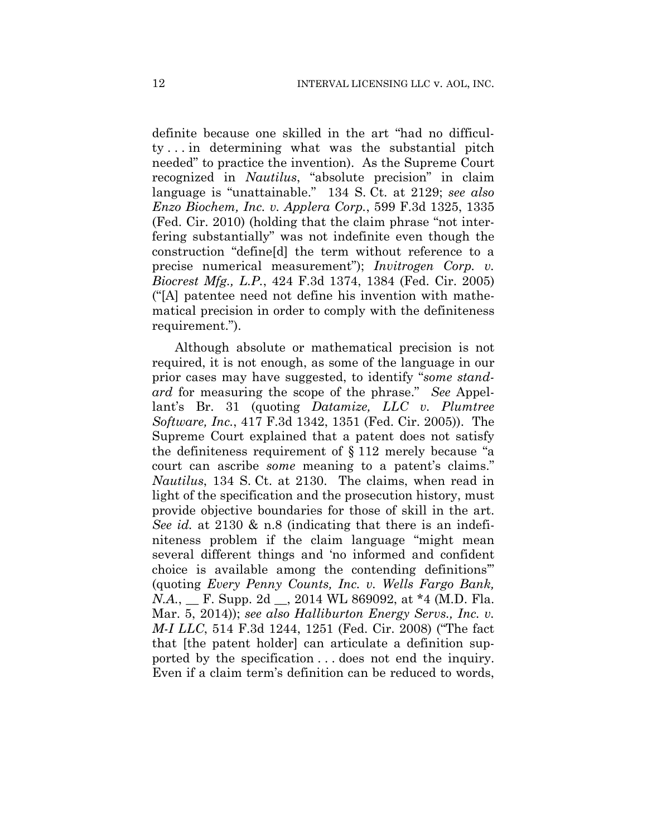definite because one skilled in the art "had no difficulty . . . in determining what was the substantial pitch needed" to practice the invention). As the Supreme Court recognized in *Nautilus*, "absolute precision" in claim language is "unattainable." 134 S. Ct. at 2129; *see also Enzo Biochem, Inc. v. Applera Corp.*, 599 F.3d 1325, 1335 (Fed. Cir. 2010) (holding that the claim phrase "not interfering substantially" was not indefinite even though the construction "define[d] the term without reference to a precise numerical measurement"); *Invitrogen Corp. v. Biocrest Mfg., L.P.*, 424 F.3d 1374, 1384 (Fed. Cir. 2005) ("[A] patentee need not define his invention with mathematical precision in order to comply with the definiteness requirement.").

Although absolute or mathematical precision is not required, it is not enough, as some of the language in our prior cases may have suggested, to identify "*some standard* for measuring the scope of the phrase." *See* Appellant's Br. 31 (quoting *Datamize, LLC v. Plumtree Software, Inc.*, 417 F.3d 1342, 1351 (Fed. Cir. 2005)). The Supreme Court explained that a patent does not satisfy the definiteness requirement of § 112 merely because "a court can ascribe *some* meaning to a patent's claims." *Nautilus*, 134 S. Ct. at 2130. The claims, when read in light of the specification and the prosecution history, must provide objective boundaries for those of skill in the art. *See id.* at 2130 & n.8 (indicating that there is an indefiniteness problem if the claim language "might mean several different things and 'no informed and confident choice is available among the contending definitions'" (quoting *Every Penny Counts, Inc. v. Wells Fargo Bank, N.A.*, <u>F. Supp. 2d \_, 2014 WL 869092</u>, at \*4 (M.D. Fla. Mar. 5, 2014)); *see also Halliburton Energy Servs., Inc. v. M-I LLC*, 514 F.3d 1244, 1251 (Fed. Cir. 2008) ("The fact that [the patent holder] can articulate a definition supported by the specification . . . does not end the inquiry. Even if a claim term's definition can be reduced to words,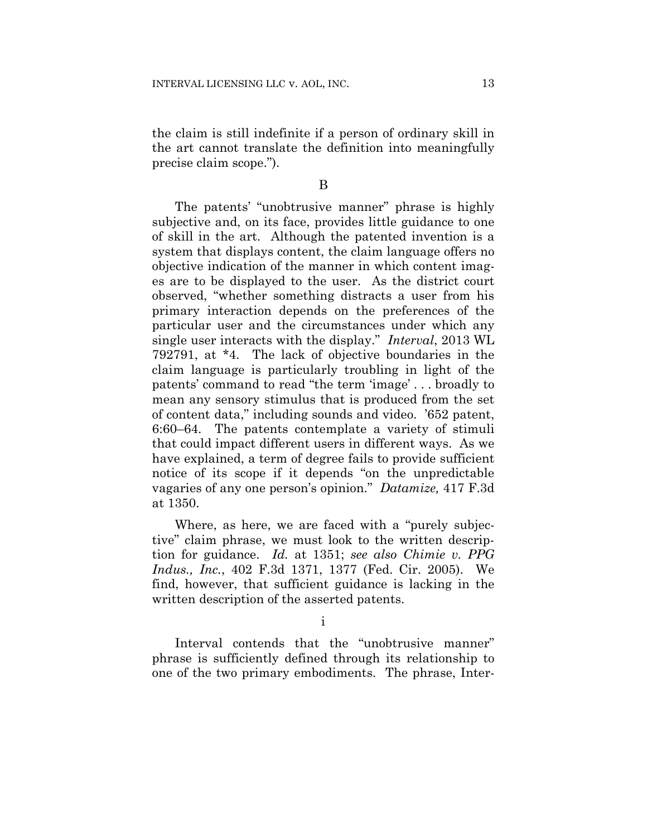the claim is still indefinite if a person of ordinary skill in the art cannot translate the definition into meaningfully precise claim scope.").

B

The patents' "unobtrusive manner" phrase is highly subjective and, on its face, provides little guidance to one of skill in the art. Although the patented invention is a system that displays content, the claim language offers no objective indication of the manner in which content images are to be displayed to the user. As the district court observed, "whether something distracts a user from his primary interaction depends on the preferences of the particular user and the circumstances under which any single user interacts with the display." *Interval*, 2013 WL 792791, at \*4. The lack of objective boundaries in the claim language is particularly troubling in light of the patents' command to read "the term 'image' . . . broadly to mean any sensory stimulus that is produced from the set of content data," including sounds and video. '652 patent, 6:60–64. The patents contemplate a variety of stimuli that could impact different users in different ways. As we have explained, a term of degree fails to provide sufficient notice of its scope if it depends "on the unpredictable vagaries of any one person's opinion." *Datamize,* 417 F.3d at 1350.

Where, as here, we are faced with a "purely subjective" claim phrase, we must look to the written description for guidance. *Id.* at 1351; *see also Chimie v. PPG Indus., Inc.*, 402 F.3d 1371, 1377 (Fed. Cir. 2005). We find, however, that sufficient guidance is lacking in the written description of the asserted patents.

i

Interval contends that the "unobtrusive manner" phrase is sufficiently defined through its relationship to one of the two primary embodiments. The phrase, Inter-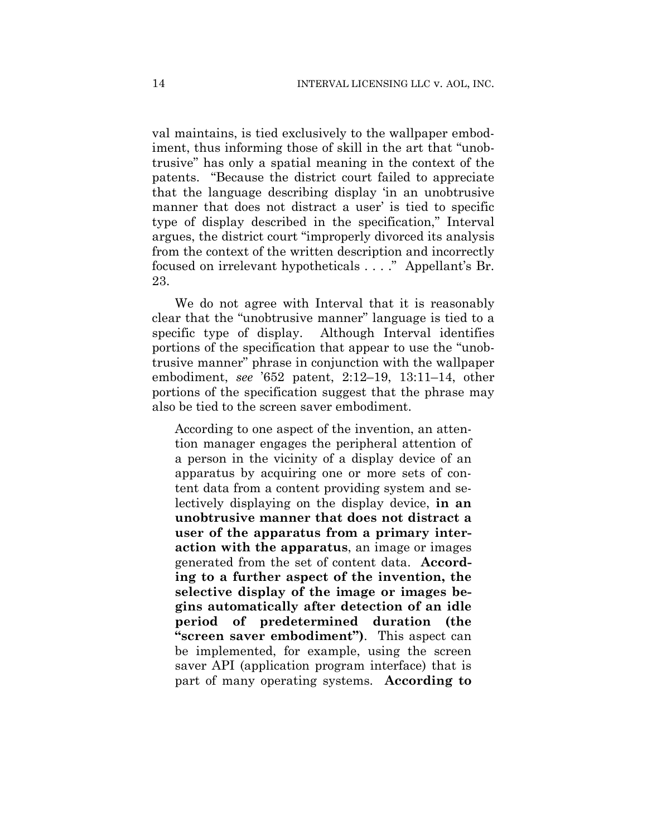val maintains, is tied exclusively to the wallpaper embodiment, thus informing those of skill in the art that "unobtrusive" has only a spatial meaning in the context of the patents. "Because the district court failed to appreciate that the language describing display 'in an unobtrusive manner that does not distract a user' is tied to specific type of display described in the specification," Interval argues, the district court "improperly divorced its analysis from the context of the written description and incorrectly focused on irrelevant hypotheticals . . . ." Appellant's Br. 23.

We do not agree with Interval that it is reasonably clear that the "unobtrusive manner" language is tied to a specific type of display. Although Interval identifies portions of the specification that appear to use the "unobtrusive manner" phrase in conjunction with the wallpaper embodiment, *see* '652 patent, 2:12–19, 13:11–14, other portions of the specification suggest that the phrase may also be tied to the screen saver embodiment.

According to one aspect of the invention, an attention manager engages the peripheral attention of a person in the vicinity of a display device of an apparatus by acquiring one or more sets of content data from a content providing system and selectively displaying on the display device, **in an unobtrusive manner that does not distract a user of the apparatus from a primary interaction with the apparatus**, an image or images generated from the set of content data. **According to a further aspect of the invention, the selective display of the image or images begins automatically after detection of an idle period of predetermined duration (the "screen saver embodiment")**. This aspect can be implemented, for example, using the screen saver API (application program interface) that is part of many operating systems. **According to**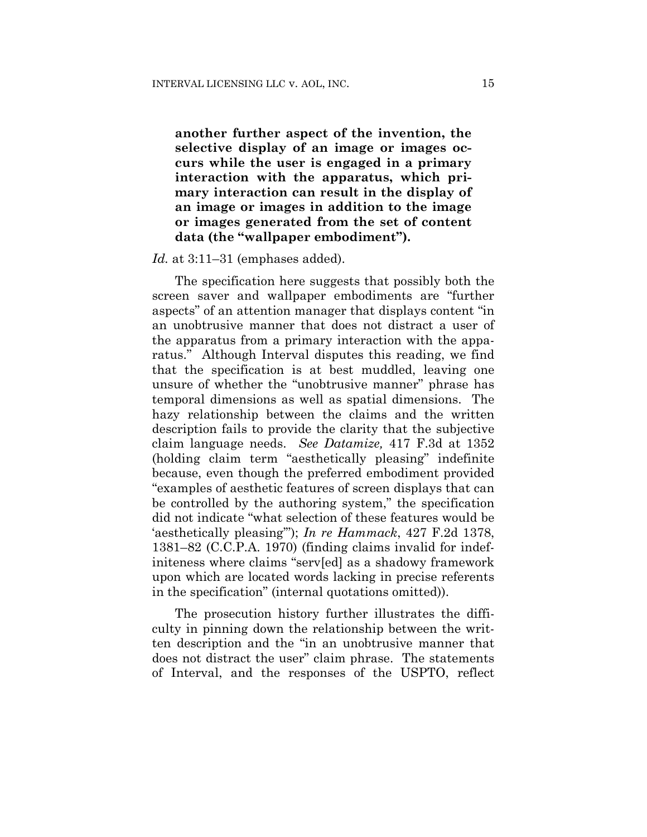**another further aspect of the invention, the selective display of an image or images occurs while the user is engaged in a primary interaction with the apparatus, which primary interaction can result in the display of an image or images in addition to the image or images generated from the set of content data (the "wallpaper embodiment").**

#### *Id.* at 3:11–31 (emphases added).

The specification here suggests that possibly both the screen saver and wallpaper embodiments are "further aspects" of an attention manager that displays content "in an unobtrusive manner that does not distract a user of the apparatus from a primary interaction with the apparatus." Although Interval disputes this reading, we find that the specification is at best muddled, leaving one unsure of whether the "unobtrusive manner" phrase has temporal dimensions as well as spatial dimensions. The hazy relationship between the claims and the written description fails to provide the clarity that the subjective claim language needs. *See Datamize,* 417 F.3d at 1352 (holding claim term "aesthetically pleasing" indefinite because, even though the preferred embodiment provided "examples of aesthetic features of screen displays that can be controlled by the authoring system," the specification did not indicate "what selection of these features would be 'aesthetically pleasing'"); *In re Hammack*, 427 F.2d 1378, 1381–82 (C.C.P.A. 1970) (finding claims invalid for indefiniteness where claims "serv[ed] as a shadowy framework upon which are located words lacking in precise referents in the specification" (internal quotations omitted)).

The prosecution history further illustrates the difficulty in pinning down the relationship between the written description and the "in an unobtrusive manner that does not distract the user" claim phrase. The statements of Interval, and the responses of the USPTO, reflect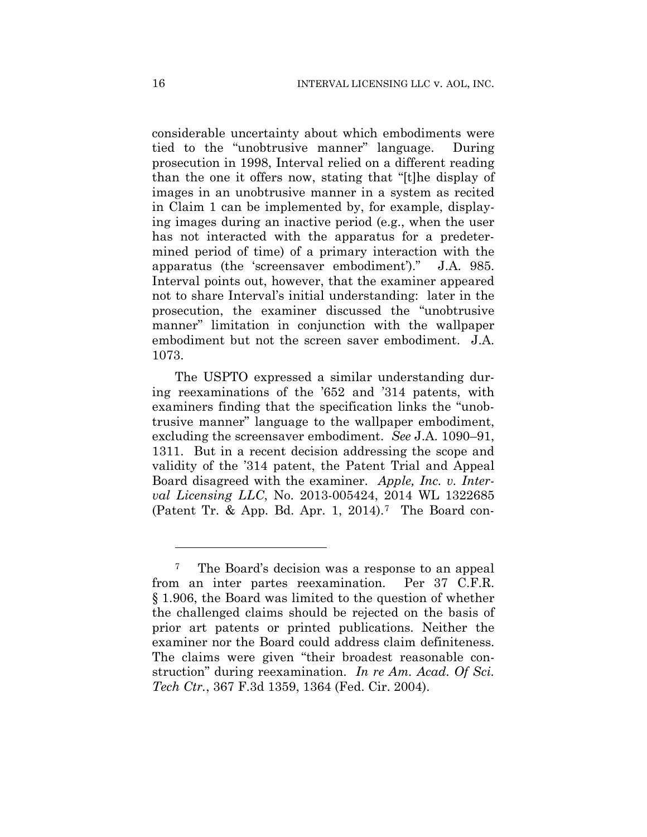considerable uncertainty about which embodiments were tied to the "unobtrusive manner" language. During prosecution in 1998, Interval relied on a different reading than the one it offers now, stating that "[t]he display of images in an unobtrusive manner in a system as recited in Claim 1 can be implemented by, for example, displaying images during an inactive period (e.g., when the user has not interacted with the apparatus for a predetermined period of time) of a primary interaction with the apparatus (the 'screensaver embodiment')." J.A. 985. Interval points out, however, that the examiner appeared not to share Interval's initial understanding: later in the prosecution, the examiner discussed the "unobtrusive manner" limitation in conjunction with the wallpaper embodiment but not the screen saver embodiment. J.A. 1073.

The USPTO expressed a similar understanding during reexaminations of the '652 and '314 patents, with examiners finding that the specification links the "unobtrusive manner" language to the wallpaper embodiment, excluding the screensaver embodiment. *See* J.A. 1090–91, 1311. But in a recent decision addressing the scope and validity of the '314 patent, the Patent Trial and Appeal Board disagreed with the examiner. *Apple, Inc. v. Interval Licensing LLC*, No. 2013-005424, 2014 WL 1322685 (Patent Tr. & App. Bd. Apr. 1, 2014).<sup>7</sup> The Board con-

<sup>7</sup> The Board's decision was a response to an appeal from an inter partes reexamination. Per 37 C.F.R. § 1.906, the Board was limited to the question of whether the challenged claims should be rejected on the basis of prior art patents or printed publications. Neither the examiner nor the Board could address claim definiteness. The claims were given "their broadest reasonable construction" during reexamination. *In re Am. Acad. Of Sci. Tech Ctr.*, 367 F.3d 1359, 1364 (Fed. Cir. 2004).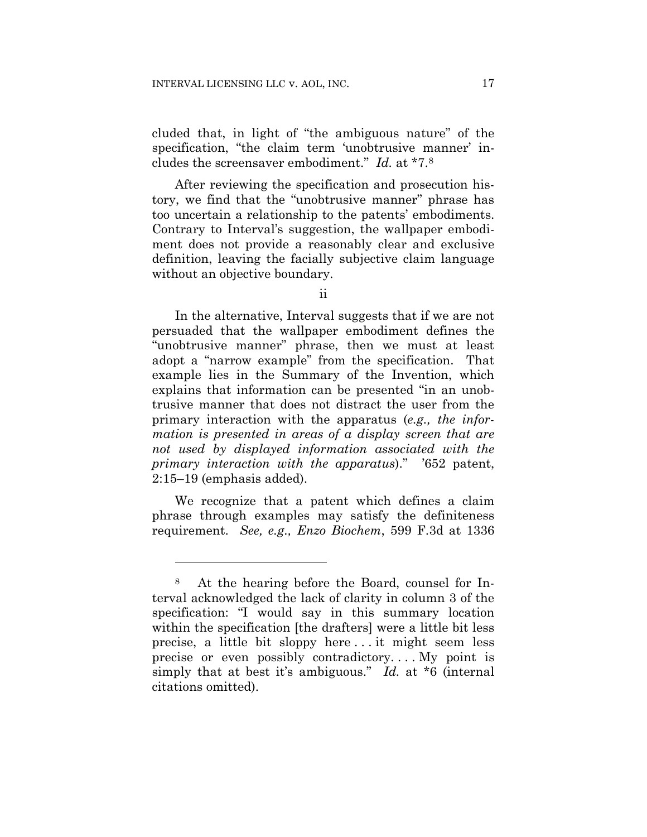cluded that, in light of "the ambiguous nature" of the specification, "the claim term 'unobtrusive manner' includes the screensaver embodiment." *Id.* at \*7.8

After reviewing the specification and prosecution history, we find that the "unobtrusive manner" phrase has too uncertain a relationship to the patents' embodiments. Contrary to Interval's suggestion, the wallpaper embodiment does not provide a reasonably clear and exclusive definition, leaving the facially subjective claim language without an objective boundary.

ii

In the alternative, Interval suggests that if we are not persuaded that the wallpaper embodiment defines the "unobtrusive manner" phrase, then we must at least adopt a "narrow example" from the specification. That example lies in the Summary of the Invention, which explains that information can be presented "in an unobtrusive manner that does not distract the user from the primary interaction with the apparatus (*e.g., the information is presented in areas of a display screen that are not used by displayed information associated with the primary interaction with the apparatus*)." '652 patent, 2:15–19 (emphasis added).

We recognize that a patent which defines a claim phrase through examples may satisfy the definiteness requirement. *See, e.g., Enzo Biochem*, 599 F.3d at 1336

<sup>8</sup> At the hearing before the Board, counsel for Interval acknowledged the lack of clarity in column 3 of the specification: "I would say in this summary location within the specification [the drafters] were a little bit less precise, a little bit sloppy here . . . it might seem less precise or even possibly contradictory. . . . My point is simply that at best it's ambiguous." *Id.* at \*6 (internal citations omitted).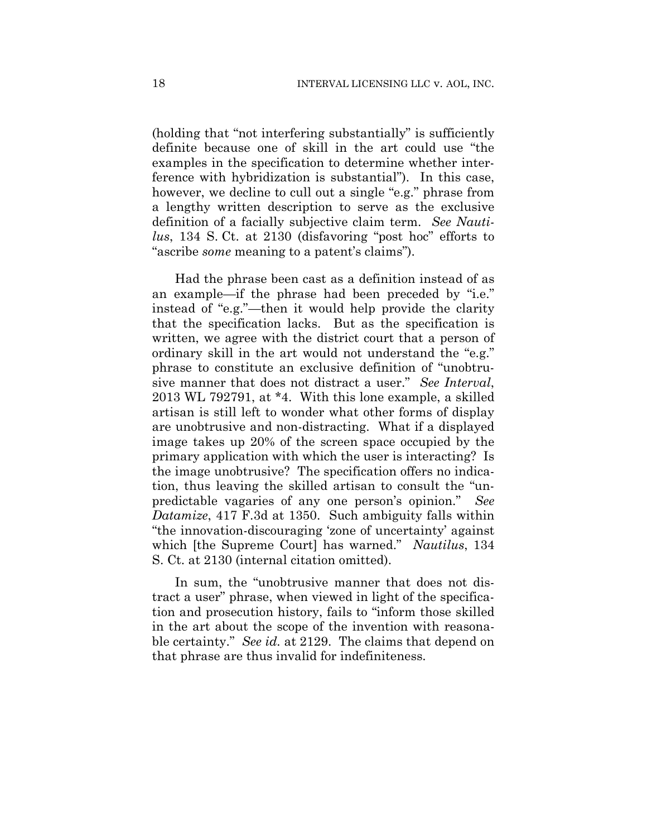(holding that "not interfering substantially" is sufficiently definite because one of skill in the art could use "the examples in the specification to determine whether interference with hybridization is substantial"). In this case, however, we decline to cull out a single "e.g." phrase from a lengthy written description to serve as the exclusive definition of a facially subjective claim term. *See Nautilus*, 134 S. Ct. at 2130 (disfavoring "post hoc" efforts to "ascribe *some* meaning to a patent's claims").

Had the phrase been cast as a definition instead of as an example—if the phrase had been preceded by "i.e." instead of "e.g."—then it would help provide the clarity that the specification lacks. But as the specification is written, we agree with the district court that a person of ordinary skill in the art would not understand the "e.g." phrase to constitute an exclusive definition of "unobtrusive manner that does not distract a user." *See Interval*, 2013 WL 792791, at \*4. With this lone example, a skilled artisan is still left to wonder what other forms of display are unobtrusive and non-distracting. What if a displayed image takes up 20% of the screen space occupied by the primary application with which the user is interacting? Is the image unobtrusive? The specification offers no indication, thus leaving the skilled artisan to consult the "unpredictable vagaries of any one person's opinion." *See Datamize*, 417 F.3d at 1350. Such ambiguity falls within "the innovation-discouraging 'zone of uncertainty' against which [the Supreme Court] has warned." *Nautilus*, 134 S. Ct. at 2130 (internal citation omitted).

In sum, the "unobtrusive manner that does not distract a user" phrase, when viewed in light of the specification and prosecution history, fails to "inform those skilled in the art about the scope of the invention with reasonable certainty." *See id.* at 2129. The claims that depend on that phrase are thus invalid for indefiniteness.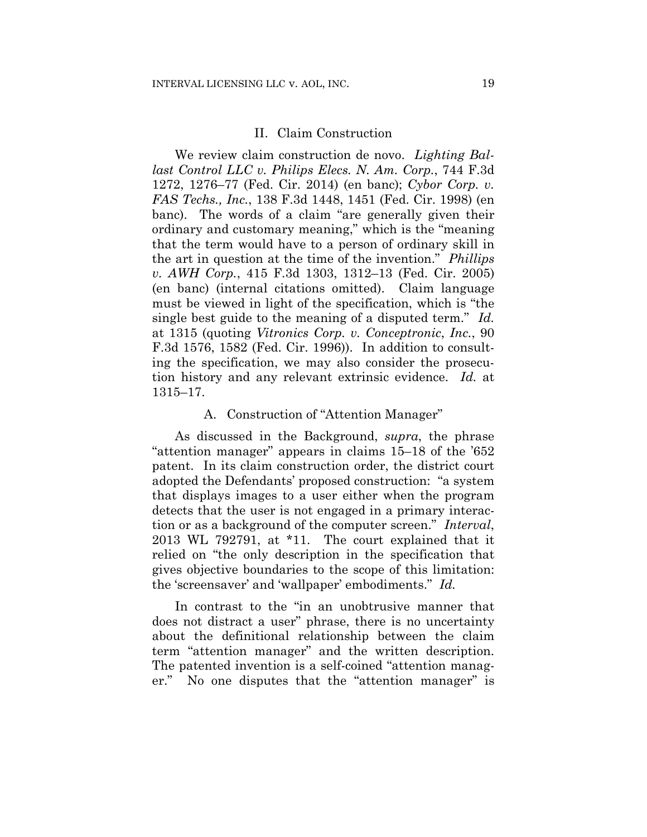#### II. Claim Construction

We review claim construction de novo. *Lighting Ballast Control LLC v. Philips Elecs. N. Am. Corp.*, 744 F.3d 1272, 1276–77 (Fed. Cir. 2014) (en banc); *Cybor Corp. v. FAS Techs., Inc.*, 138 F.3d 1448, 1451 (Fed. Cir. 1998) (en banc). The words of a claim "are generally given their ordinary and customary meaning," which is the "meaning that the term would have to a person of ordinary skill in the art in question at the time of the invention." *Phillips v. AWH Corp.*, 415 F.3d 1303, 1312–13 (Fed. Cir. 2005) (en banc) (internal citations omitted). Claim language must be viewed in light of the specification, which is "the single best guide to the meaning of a disputed term." *Id.* at 1315 (quoting *Vitronics Corp. v. Conceptronic*, *Inc.*, 90 F.3d 1576, 1582 (Fed. Cir. 1996)). In addition to consulting the specification, we may also consider the prosecution history and any relevant extrinsic evidence. *Id.* at 1315–17.

# A. Construction of "Attention Manager"

As discussed in the Background, *supra*, the phrase "attention manager" appears in claims 15–18 of the '652 patent. In its claim construction order, the district court adopted the Defendants' proposed construction: "a system that displays images to a user either when the program detects that the user is not engaged in a primary interaction or as a background of the computer screen." *Interval*, 2013 WL 792791, at \*11. The court explained that it relied on "the only description in the specification that gives objective boundaries to the scope of this limitation: the 'screensaver' and 'wallpaper' embodiments." *Id.*

In contrast to the "in an unobtrusive manner that does not distract a user" phrase, there is no uncertainty about the definitional relationship between the claim term "attention manager" and the written description. The patented invention is a self-coined "attention manager." No one disputes that the "attention manager" is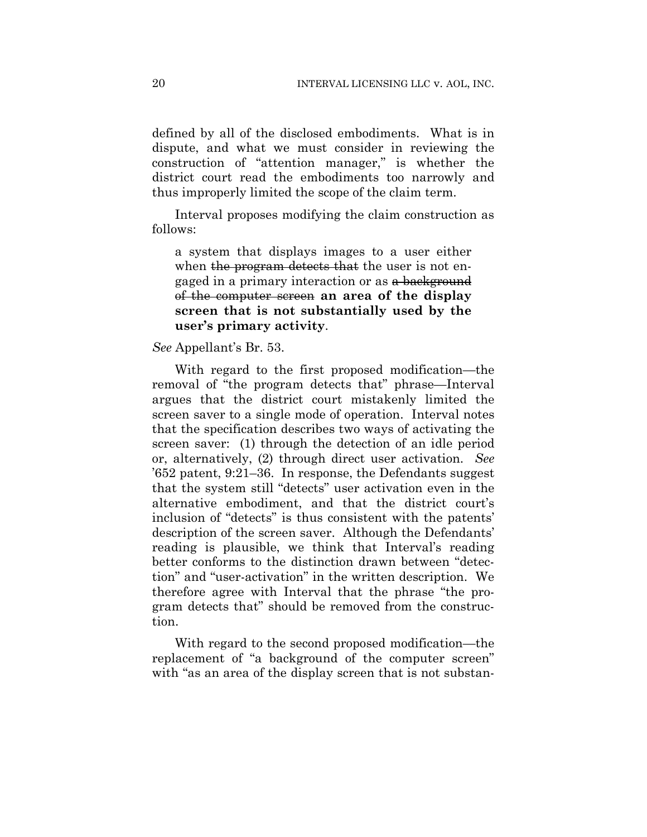defined by all of the disclosed embodiments. What is in dispute, and what we must consider in reviewing the construction of "attention manager," is whether the district court read the embodiments too narrowly and thus improperly limited the scope of the claim term.

Interval proposes modifying the claim construction as follows:

a system that displays images to a user either when the program detects that the user is not engaged in a primary interaction or as a background of the computer screen **an area of the display screen that is not substantially used by the user's primary activity**.

# *See* Appellant's Br. 53.

With regard to the first proposed modification—the removal of "the program detects that" phrase—Interval argues that the district court mistakenly limited the screen saver to a single mode of operation. Interval notes that the specification describes two ways of activating the screen saver: (1) through the detection of an idle period or, alternatively, (2) through direct user activation. *See* '652 patent, 9:21–36. In response, the Defendants suggest that the system still "detects" user activation even in the alternative embodiment, and that the district court's inclusion of "detects" is thus consistent with the patents' description of the screen saver. Although the Defendants' reading is plausible, we think that Interval's reading better conforms to the distinction drawn between "detection" and "user-activation" in the written description. We therefore agree with Interval that the phrase "the program detects that" should be removed from the construction.

With regard to the second proposed modification—the replacement of "a background of the computer screen" with "as an area of the display screen that is not substan-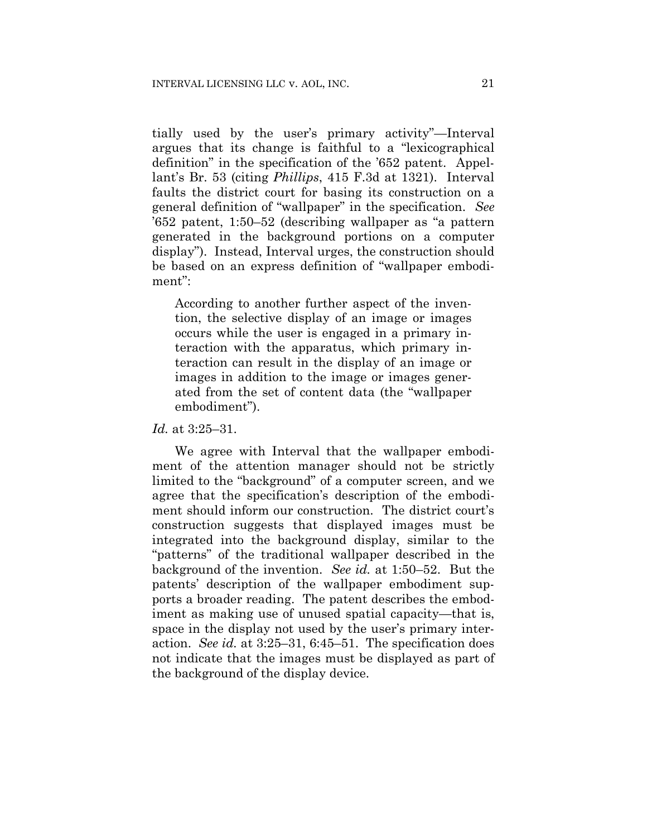tially used by the user's primary activity"—Interval argues that its change is faithful to a "lexicographical definition" in the specification of the '652 patent. Appellant's Br. 53 (citing *Phillips*, 415 F.3d at 1321). Interval faults the district court for basing its construction on a general definition of "wallpaper" in the specification. *See* '652 patent, 1:50–52 (describing wallpaper as "a pattern generated in the background portions on a computer display"). Instead, Interval urges, the construction should be based on an express definition of "wallpaper embodiment":

According to another further aspect of the invention, the selective display of an image or images occurs while the user is engaged in a primary interaction with the apparatus, which primary interaction can result in the display of an image or images in addition to the image or images generated from the set of content data (the "wallpaper embodiment").

*Id.* at 3:25–31.

We agree with Interval that the wallpaper embodiment of the attention manager should not be strictly limited to the "background" of a computer screen, and we agree that the specification's description of the embodiment should inform our construction. The district court's construction suggests that displayed images must be integrated into the background display, similar to the "patterns" of the traditional wallpaper described in the background of the invention. *See id.* at 1:50–52. But the patents' description of the wallpaper embodiment supports a broader reading. The patent describes the embodiment as making use of unused spatial capacity—that is, space in the display not used by the user's primary interaction. *See id.* at 3:25–31, 6:45–51. The specification does not indicate that the images must be displayed as part of the background of the display device.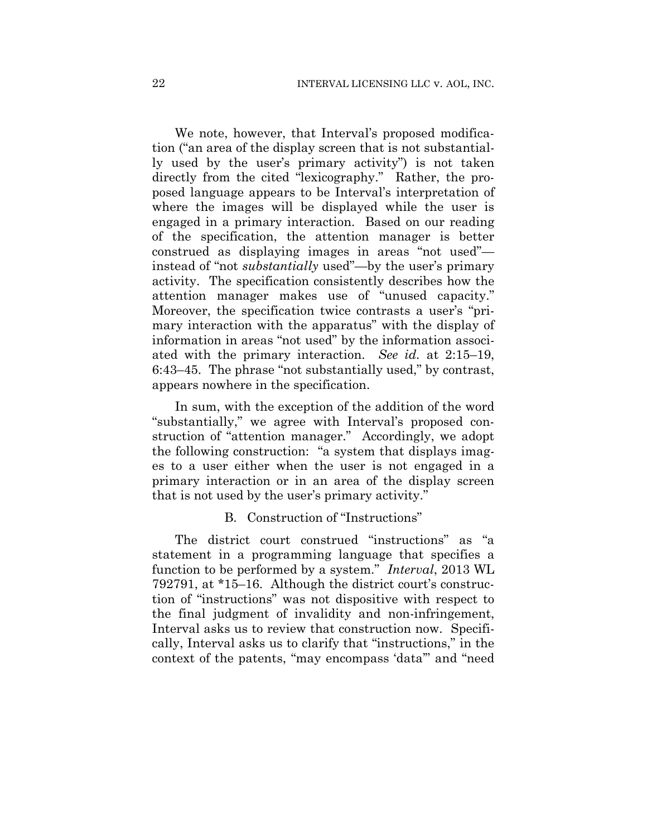We note, however, that Interval's proposed modification ("an area of the display screen that is not substantially used by the user's primary activity") is not taken directly from the cited "lexicography." Rather, the proposed language appears to be Interval's interpretation of where the images will be displayed while the user is engaged in a primary interaction. Based on our reading of the specification, the attention manager is better construed as displaying images in areas "not used" instead of "not *substantially* used"—by the user's primary activity. The specification consistently describes how the attention manager makes use of "unused capacity." Moreover, the specification twice contrasts a user's "primary interaction with the apparatus" with the display of information in areas "not used" by the information associated with the primary interaction. *See id.* at 2:15–19, 6:43–45. The phrase "not substantially used," by contrast, appears nowhere in the specification.

In sum, with the exception of the addition of the word "substantially," we agree with Interval's proposed construction of "attention manager." Accordingly, we adopt the following construction: "a system that displays images to a user either when the user is not engaged in a primary interaction or in an area of the display screen that is not used by the user's primary activity."

#### B. Construction of "Instructions"

The district court construed "instructions" as "a statement in a programming language that specifies a function to be performed by a system." *Interval*, 2013 WL 792791, at \*15–16. Although the district court's construction of "instructions" was not dispositive with respect to the final judgment of invalidity and non-infringement, Interval asks us to review that construction now. Specifically, Interval asks us to clarify that "instructions," in the context of the patents, "may encompass 'data'" and "need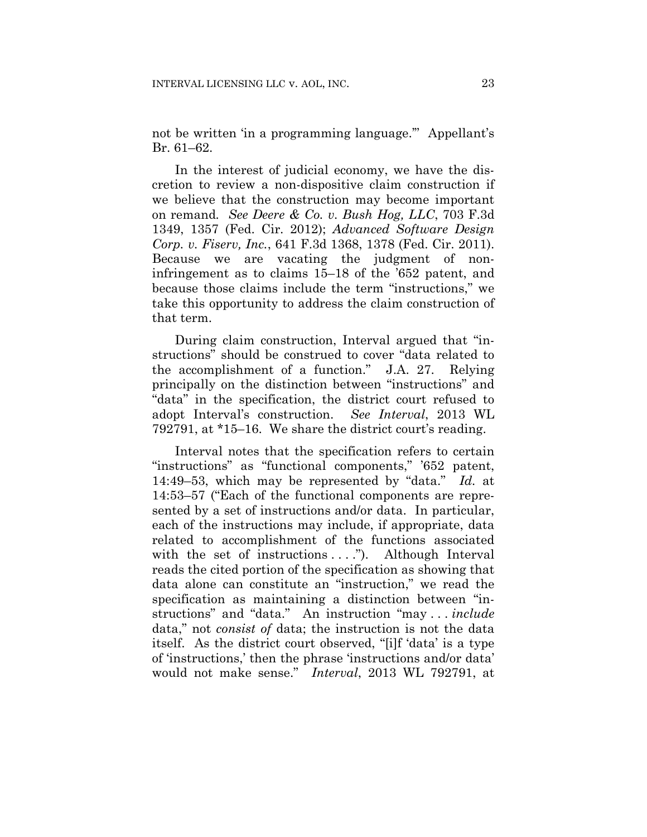not be written 'in a programming language.'" Appellant's Br. 61–62.

In the interest of judicial economy, we have the discretion to review a non-dispositive claim construction if we believe that the construction may become important on remand*. See Deere & Co. v. Bush Hog, LLC*, 703 F.3d 1349, 1357 (Fed. Cir. 2012); *Advanced Software Design Corp. v. Fiserv, Inc.*, 641 F.3d 1368, 1378 (Fed. Cir. 2011). Because we are vacating the judgment of noninfringement as to claims 15–18 of the '652 patent, and because those claims include the term "instructions," we take this opportunity to address the claim construction of that term.

During claim construction, Interval argued that "instructions" should be construed to cover "data related to the accomplishment of a function." J.A. 27. Relying principally on the distinction between "instructions" and "data" in the specification, the district court refused to adopt Interval's construction. *See Interval*, 2013 WL 792791, at \*15–16. We share the district court's reading.

Interval notes that the specification refers to certain "instructions" as "functional components," '652 patent, 14:49–53, which may be represented by "data." *Id.* at 14:53–57 ("Each of the functional components are represented by a set of instructions and/or data. In particular, each of the instructions may include, if appropriate, data related to accomplishment of the functions associated with the set of instructions  $\dots$ "). Although Interval reads the cited portion of the specification as showing that data alone can constitute an "instruction," we read the specification as maintaining a distinction between "instructions" and "data." An instruction "may . . . *include* data," not *consist of* data; the instruction is not the data itself. As the district court observed, "[i]f 'data' is a type of 'instructions,' then the phrase 'instructions and/or data' would not make sense." *Interval*, 2013 WL 792791, at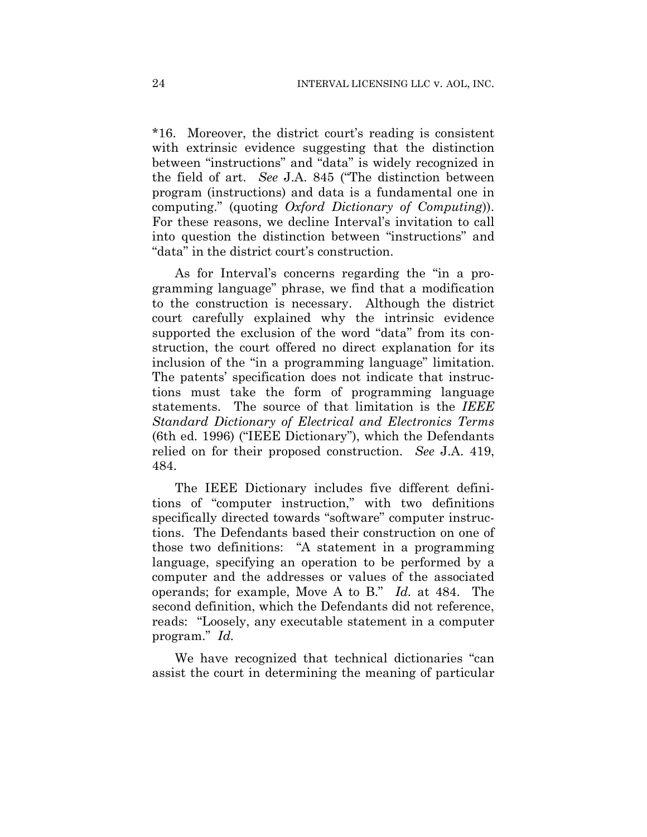\*16. Moreover, the district court's reading is consistent with extrinsic evidence suggesting that the distinction between "instructions" and "data" is widely recognized in the field of art. *See* J.A. 845 ("The distinction between program (instructions) and data is a fundamental one in computing." (quoting *Oxford Dictionary of Computing*)). For these reasons, we decline Interval's invitation to call into question the distinction between "instructions" and "data" in the district court's construction.

As for Interval's concerns regarding the "in a programming language" phrase, we find that a modification to the construction is necessary. Although the district court carefully explained why the intrinsic evidence supported the exclusion of the word "data" from its construction, the court offered no direct explanation for its inclusion of the "in a programming language" limitation. The patents' specification does not indicate that instructions must take the form of programming language statements. The source of that limitation is the *IEEE Standard Dictionary of Electrical and Electronics Terms* (6th ed. 1996) ("IEEE Dictionary"), which the Defendants relied on for their proposed construction. *See* J.A. 419, 484.

The IEEE Dictionary includes five different definitions of "computer instruction," with two definitions specifically directed towards "software" computer instructions. The Defendants based their construction on one of those two definitions: "A statement in a programming language, specifying an operation to be performed by a computer and the addresses or values of the associated operands; for example, Move A to B." *Id.* at 484. The second definition, which the Defendants did not reference, reads: "Loosely, any executable statement in a computer program." *Id.*

We have recognized that technical dictionaries "can assist the court in determining the meaning of particular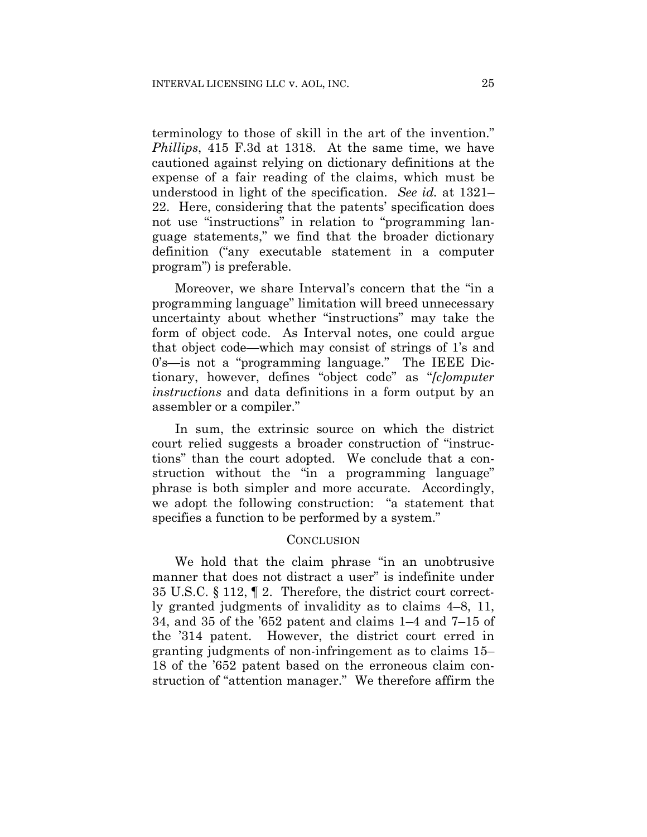terminology to those of skill in the art of the invention." *Phillips*, 415 F.3d at 1318. At the same time, we have cautioned against relying on dictionary definitions at the expense of a fair reading of the claims, which must be understood in light of the specification. *See id.* at 1321– 22. Here, considering that the patents' specification does not use "instructions" in relation to "programming language statements," we find that the broader dictionary definition ("any executable statement in a computer program") is preferable.

Moreover, we share Interval's concern that the "in a programming language" limitation will breed unnecessary uncertainty about whether "instructions" may take the form of object code. As Interval notes, one could argue that object code—which may consist of strings of 1's and 0's—is not a "programming language." The IEEE Dictionary, however, defines "object code" as "*[c]omputer instructions* and data definitions in a form output by an assembler or a compiler."

In sum, the extrinsic source on which the district court relied suggests a broader construction of "instructions" than the court adopted. We conclude that a construction without the "in a programming language" phrase is both simpler and more accurate. Accordingly, we adopt the following construction: "a statement that specifies a function to be performed by a system."

#### **CONCLUSION**

We hold that the claim phrase "in an unobtrusive manner that does not distract a user" is indefinite under 35 U.S.C. § 112, ¶ 2. Therefore, the district court correctly granted judgments of invalidity as to claims 4–8, 11, 34, and 35 of the '652 patent and claims 1–4 and 7–15 of the '314 patent. However, the district court erred in granting judgments of non-infringement as to claims 15– 18 of the '652 patent based on the erroneous claim construction of "attention manager." We therefore affirm the